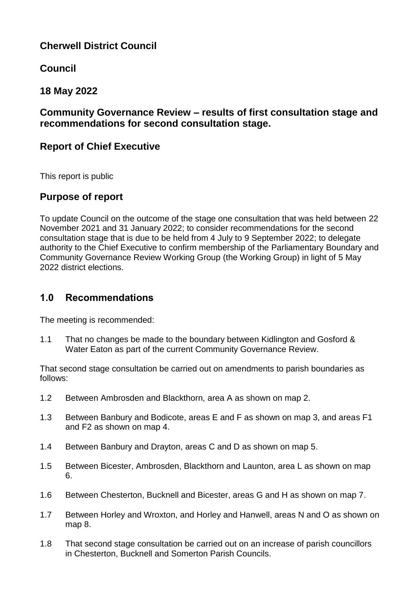# **Cherwell District Council**

**Council**

# **18 May 2022**

## **Community Governance Review – results of first consultation stage and recommendations for second consultation stage.**

# **Report of Chief Executive**

This report is public

# **Purpose of report**

To update Council on the outcome of the stage one consultation that was held between 22 November 2021 and 31 January 2022; to consider recommendations for the second consultation stage that is due to be held from 4 July to 9 September 2022; to delegate authority to the Chief Executive to confirm membership of the Parliamentary Boundary and Community Governance Review Working Group (the Working Group) in light of 5 May 2022 district elections.

# **1.0 Recommendations**

The meeting is recommended:

1.1 That no changes be made to the boundary between Kidlington and Gosford & Water Eaton as part of the current Community Governance Review.

That second stage consultation be carried out on amendments to parish boundaries as follows:

- 1.2 Between Ambrosden and Blackthorn, area A as shown on map 2.
- 1.3 Between Banbury and Bodicote, areas E and F as shown on map 3, and areas F1 and F2 as shown on map 4.
- 1.4 Between Banbury and Drayton, areas C and D as shown on map 5.
- 1.5 Between Bicester, Ambrosden, Blackthorn and Launton, area L as shown on map 6.
- 1.6 Between Chesterton, Bucknell and Bicester, areas G and H as shown on map 7.
- 1.7 Between Horley and Wroxton, and Horley and Hanwell, areas N and O as shown on map 8.
- 1.8 That second stage consultation be carried out on an increase of parish councillors in Chesterton, Bucknell and Somerton Parish Councils.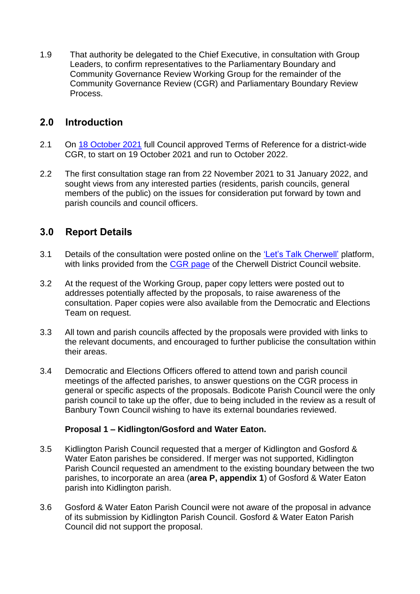1.9 That authority be delegated to the Chief Executive, in consultation with Group Leaders, to confirm representatives to the Parliamentary Boundary and Community Governance Review Working Group for the remainder of the Community Governance Review (CGR) and Parliamentary Boundary Review Process.

# **2.0 Introduction**

- 2.1 On [18 October 2021](https://modgov.cherwell.gov.uk/ieListDocuments.aspx?CId=114&MId=3509&Ver=4) full Council approved Terms of Reference for a district-wide CGR, to start on 19 October 2021 and run to October 2022.
- 2.2 The first consultation stage ran from 22 November 2021 to 31 January 2022, and sought views from any interested parties (residents, parish councils, general members of the public) on the issues for consideration put forward by town and parish councils and council officers.

# **3.0 Report Details**

- 3.1 Details of the consultation were posted online on the ['Let's Talk Cherwell'](https://letstalk.cherwell.gov.uk/community-governance-2021) platform, with links provided from the [CGR page](https://www.cherwell.gov.uk/info/11/elections/315/community-governance-review/2) of the Cherwell District Council website.
- 3.2 At the request of the Working Group, paper copy letters were posted out to addresses potentially affected by the proposals, to raise awareness of the consultation. Paper copies were also available from the Democratic and Elections Team on request.
- 3.3 All town and parish councils affected by the proposals were provided with links to the relevant documents, and encouraged to further publicise the consultation within their areas.
- 3.4 Democratic and Elections Officers offered to attend town and parish council meetings of the affected parishes, to answer questions on the CGR process in general or specific aspects of the proposals. Bodicote Parish Council were the only parish council to take up the offer, due to being included in the review as a result of Banbury Town Council wishing to have its external boundaries reviewed.

## **Proposal 1 – Kidlington/Gosford and Water Eaton.**

- 3.5 Kidlington Parish Council requested that a merger of Kidlington and Gosford & Water Eaton parishes be considered. If merger was not supported, Kidlington Parish Council requested an amendment to the existing boundary between the two parishes, to incorporate an area (**area P, appendix 1**) of Gosford & Water Eaton parish into Kidlington parish.
- 3.6 Gosford & Water Eaton Parish Council were not aware of the proposal in advance of its submission by Kidlington Parish Council. Gosford & Water Eaton Parish Council did not support the proposal.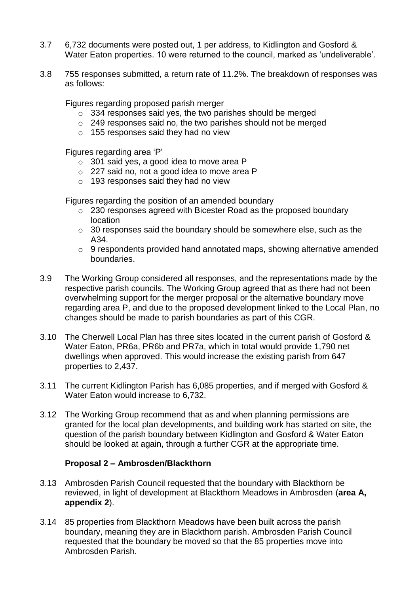- 3.7 6,732 documents were posted out, 1 per address, to Kidlington and Gosford & Water Eaton properties. 10 were returned to the council, marked as 'undeliverable'.
- 3.8 755 responses submitted, a return rate of 11.2%. The breakdown of responses was as follows:

Figures regarding proposed parish merger

- o 334 responses said yes, the two parishes should be merged
- o 249 responses said no, the two parishes should not be merged
- o 155 responses said they had no view

Figures regarding area 'P'

- o 301 said yes, a good idea to move area P
- o 227 said no, not a good idea to move area P
- o 193 responses said they had no view

Figures regarding the position of an amended boundary

- o 230 responses agreed with Bicester Road as the proposed boundary location
- o 30 responses said the boundary should be somewhere else, such as the A34.
- o 9 respondents provided hand annotated maps, showing alternative amended boundaries.
- 3.9 The Working Group considered all responses, and the representations made by the respective parish councils. The Working Group agreed that as there had not been overwhelming support for the merger proposal or the alternative boundary move regarding area P, and due to the proposed development linked to the Local Plan, no changes should be made to parish boundaries as part of this CGR.
- 3.10 The Cherwell Local Plan has three sites located in the current parish of Gosford & Water Eaton, PR6a, PR6b and PR7a, which in total would provide 1,790 net dwellings when approved. This would increase the existing parish from 647 properties to 2,437.
- 3.11 The current Kidlington Parish has 6,085 properties, and if merged with Gosford & Water Eaton would increase to 6,732.
- 3.12 The Working Group recommend that as and when planning permissions are granted for the local plan developments, and building work has started on site, the question of the parish boundary between Kidlington and Gosford & Water Eaton should be looked at again, through a further CGR at the appropriate time.

### **Proposal 2 – Ambrosden/Blackthorn**

- 3.13 Ambrosden Parish Council requested that the boundary with Blackthorn be reviewed, in light of development at Blackthorn Meadows in Ambrosden (**area A, appendix 2**).
- 3.14 85 properties from Blackthorn Meadows have been built across the parish boundary, meaning they are in Blackthorn parish. Ambrosden Parish Council requested that the boundary be moved so that the 85 properties move into Ambrosden Parish.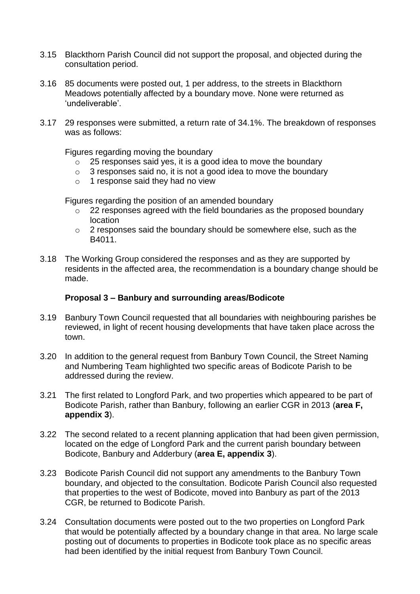- 3.15 Blackthorn Parish Council did not support the proposal, and objected during the consultation period.
- 3.16 85 documents were posted out, 1 per address, to the streets in Blackthorn Meadows potentially affected by a boundary move. None were returned as 'undeliverable'.
- 3.17 29 responses were submitted, a return rate of 34.1%. The breakdown of responses was as follows:

Figures regarding moving the boundary

- $\sim$  25 responses said yes, it is a good idea to move the boundary
- o 3 responses said no, it is not a good idea to move the boundary
- o 1 response said they had no view

Figures regarding the position of an amended boundary

- o 22 responses agreed with the field boundaries as the proposed boundary location
- o 2 responses said the boundary should be somewhere else, such as the B4011.
- 3.18 The Working Group considered the responses and as they are supported by residents in the affected area, the recommendation is a boundary change should be made.

#### **Proposal 3 – Banbury and surrounding areas/Bodicote**

- 3.19 Banbury Town Council requested that all boundaries with neighbouring parishes be reviewed, in light of recent housing developments that have taken place across the town.
- 3.20 In addition to the general request from Banbury Town Council, the Street Naming and Numbering Team highlighted two specific areas of Bodicote Parish to be addressed during the review.
- 3.21 The first related to Longford Park, and two properties which appeared to be part of Bodicote Parish, rather than Banbury, following an earlier CGR in 2013 (**area F, appendix 3**).
- 3.22 The second related to a recent planning application that had been given permission, located on the edge of Longford Park and the current parish boundary between Bodicote, Banbury and Adderbury (**area E, appendix 3**).
- 3.23 Bodicote Parish Council did not support any amendments to the Banbury Town boundary, and objected to the consultation. Bodicote Parish Council also requested that properties to the west of Bodicote, moved into Banbury as part of the 2013 CGR, be returned to Bodicote Parish.
- 3.24 Consultation documents were posted out to the two properties on Longford Park that would be potentially affected by a boundary change in that area. No large scale posting out of documents to properties in Bodicote took place as no specific areas had been identified by the initial request from Banbury Town Council.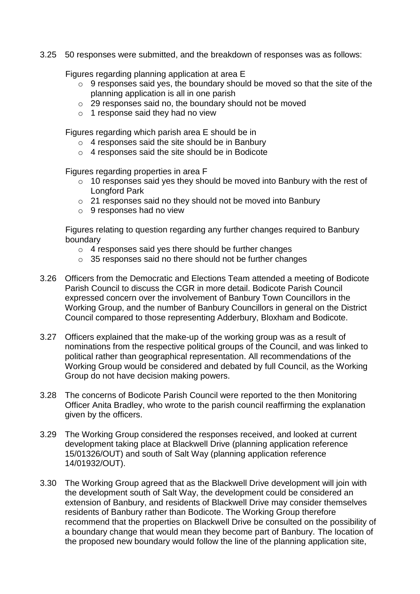3.25 50 responses were submitted, and the breakdown of responses was as follows:

Figures regarding planning application at area E

- $\circ$  9 responses said yes, the boundary should be moved so that the site of the planning application is all in one parish
- o 29 responses said no, the boundary should not be moved
- o 1 response said they had no view

Figures regarding which parish area E should be in

- o 4 responses said the site should be in Banbury
- o 4 responses said the site should be in Bodicote

Figures regarding properties in area F

- o 10 responses said yes they should be moved into Banbury with the rest of Longford Park
- o 21 responses said no they should not be moved into Banbury
- o 9 responses had no view

Figures relating to question regarding any further changes required to Banbury boundary

- o 4 responses said yes there should be further changes
- o 35 responses said no there should not be further changes
- 3.26 Officers from the Democratic and Elections Team attended a meeting of Bodicote Parish Council to discuss the CGR in more detail. Bodicote Parish Council expressed concern over the involvement of Banbury Town Councillors in the Working Group, and the number of Banbury Councillors in general on the District Council compared to those representing Adderbury, Bloxham and Bodicote.
- 3.27 Officers explained that the make-up of the working group was as a result of nominations from the respective political groups of the Council, and was linked to political rather than geographical representation. All recommendations of the Working Group would be considered and debated by full Council, as the Working Group do not have decision making powers.
- 3.28 The concerns of Bodicote Parish Council were reported to the then Monitoring Officer Anita Bradley, who wrote to the parish council reaffirming the explanation given by the officers.
- 3.29 The Working Group considered the responses received, and looked at current development taking place at Blackwell Drive (planning application reference 15/01326/OUT) and south of Salt Way (planning application reference 14/01932/OUT).
- 3.30 The Working Group agreed that as the Blackwell Drive development will join with the development south of Salt Way, the development could be considered an extension of Banbury, and residents of Blackwell Drive may consider themselves residents of Banbury rather than Bodicote. The Working Group therefore recommend that the properties on Blackwell Drive be consulted on the possibility of a boundary change that would mean they become part of Banbury. The location of the proposed new boundary would follow the line of the planning application site,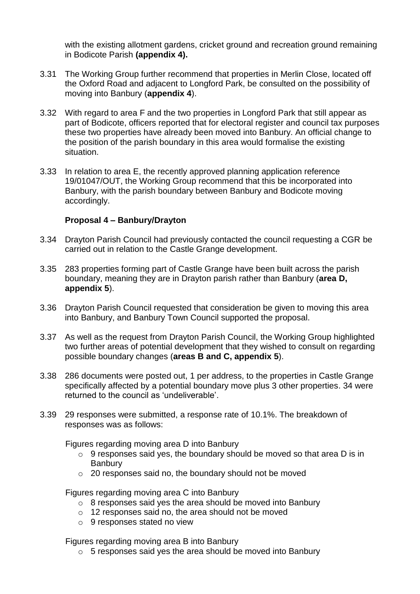with the existing allotment gardens, cricket ground and recreation ground remaining in Bodicote Parish **(appendix 4).**

- 3.31 The Working Group further recommend that properties in Merlin Close, located off the Oxford Road and adjacent to Longford Park, be consulted on the possibility of moving into Banbury (**appendix 4**).
- 3.32 With regard to area F and the two properties in Longford Park that still appear as part of Bodicote, officers reported that for electoral register and council tax purposes these two properties have already been moved into Banbury. An official change to the position of the parish boundary in this area would formalise the existing situation.
- 3.33 In relation to area E, the recently approved planning application reference 19/01047/OUT, the Working Group recommend that this be incorporated into Banbury, with the parish boundary between Banbury and Bodicote moving accordingly.

### **Proposal 4 – Banbury/Drayton**

- 3.34 Drayton Parish Council had previously contacted the council requesting a CGR be carried out in relation to the Castle Grange development.
- 3.35 283 properties forming part of Castle Grange have been built across the parish boundary, meaning they are in Drayton parish rather than Banbury (**area D, appendix 5**).
- 3.36 Drayton Parish Council requested that consideration be given to moving this area into Banbury, and Banbury Town Council supported the proposal.
- 3.37 As well as the request from Drayton Parish Council, the Working Group highlighted two further areas of potential development that they wished to consult on regarding possible boundary changes (**areas B and C, appendix 5**).
- 3.38 286 documents were posted out, 1 per address, to the properties in Castle Grange specifically affected by a potential boundary move plus 3 other properties. 34 were returned to the council as 'undeliverable'.
- 3.39 29 responses were submitted, a response rate of 10.1%. The breakdown of responses was as follows:

Figures regarding moving area D into Banbury

- o 9 responses said yes, the boundary should be moved so that area D is in Banbury
- o 20 responses said no, the boundary should not be moved

Figures regarding moving area C into Banbury

- $\circ$  8 responses said yes the area should be moved into Banbury
- o 12 responses said no, the area should not be moved
- o 9 responses stated no view

Figures regarding moving area B into Banbury

o 5 responses said yes the area should be moved into Banbury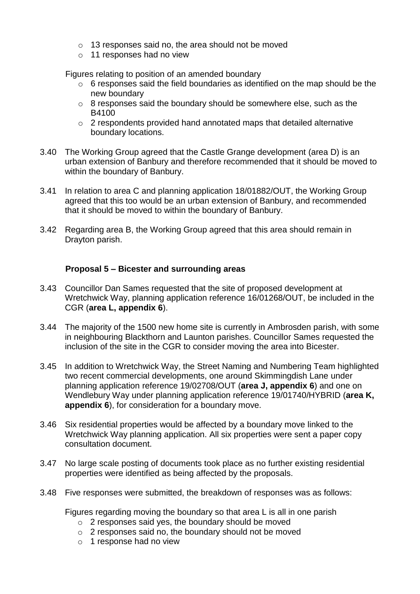- o 13 responses said no, the area should not be moved
- o 11 responses had no view

Figures relating to position of an amended boundary

- $\circ$  6 responses said the field boundaries as identified on the map should be the new boundary
- o 8 responses said the boundary should be somewhere else, such as the B4100
- $\circ$  2 respondents provided hand annotated maps that detailed alternative boundary locations.
- 3.40 The Working Group agreed that the Castle Grange development (area D) is an urban extension of Banbury and therefore recommended that it should be moved to within the boundary of Banbury.
- 3.41 In relation to area C and planning application 18/01882/OUT, the Working Group agreed that this too would be an urban extension of Banbury, and recommended that it should be moved to within the boundary of Banbury.
- 3.42 Regarding area B, the Working Group agreed that this area should remain in Drayton parish.

## **Proposal 5 – Bicester and surrounding areas**

- 3.43 Councillor Dan Sames requested that the site of proposed development at Wretchwick Way, planning application reference 16/01268/OUT, be included in the CGR (**area L, appendix 6**).
- 3.44 The majority of the 1500 new home site is currently in Ambrosden parish, with some in neighbouring Blackthorn and Launton parishes. Councillor Sames requested the inclusion of the site in the CGR to consider moving the area into Bicester.
- 3.45 In addition to Wretchwick Way, the Street Naming and Numbering Team highlighted two recent commercial developments, one around Skimmingdish Lane under planning application reference 19/02708/OUT (**area J, appendix 6**) and one on Wendlebury Way under planning application reference 19/01740/HYBRID (**area K, appendix 6**), for consideration for a boundary move.
- 3.46 Six residential properties would be affected by a boundary move linked to the Wretchwick Way planning application. All six properties were sent a paper copy consultation document.
- 3.47 No large scale posting of documents took place as no further existing residential properties were identified as being affected by the proposals.
- 3.48 Five responses were submitted, the breakdown of responses was as follows:

Figures regarding moving the boundary so that area L is all in one parish

- o 2 responses said yes, the boundary should be moved
- o 2 responses said no, the boundary should not be moved
- o 1 response had no view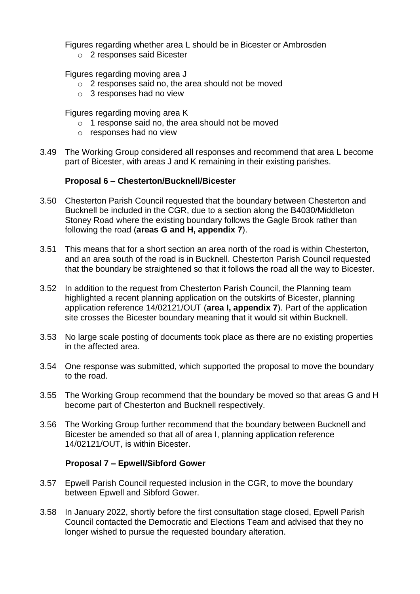Figures regarding whether area L should be in Bicester or Ambrosden

o 2 responses said Bicester

Figures regarding moving area J

- o 2 responses said no, the area should not be moved
- o 3 responses had no view

Figures regarding moving area K

- o 1 response said no, the area should not be moved
- o responses had no view
- 3.49 The Working Group considered all responses and recommend that area L become part of Bicester, with areas J and K remaining in their existing parishes.

### **Proposal 6 – Chesterton/Bucknell/Bicester**

- 3.50 Chesterton Parish Council requested that the boundary between Chesterton and Bucknell be included in the CGR, due to a section along the B4030/Middleton Stoney Road where the existing boundary follows the Gagle Brook rather than following the road (**areas G and H, appendix 7**).
- 3.51 This means that for a short section an area north of the road is within Chesterton, and an area south of the road is in Bucknell. Chesterton Parish Council requested that the boundary be straightened so that it follows the road all the way to Bicester.
- 3.52 In addition to the request from Chesterton Parish Council, the Planning team highlighted a recent planning application on the outskirts of Bicester, planning application reference 14/02121/OUT (**area I, appendix 7**). Part of the application site crosses the Bicester boundary meaning that it would sit within Bucknell.
- 3.53 No large scale posting of documents took place as there are no existing properties in the affected area.
- 3.54 One response was submitted, which supported the proposal to move the boundary to the road.
- 3.55 The Working Group recommend that the boundary be moved so that areas G and H become part of Chesterton and Bucknell respectively.
- 3.56 The Working Group further recommend that the boundary between Bucknell and Bicester be amended so that all of area I, planning application reference 14/02121/OUT, is within Bicester.

### **Proposal 7 – Epwell/Sibford Gower**

- 3.57 Epwell Parish Council requested inclusion in the CGR, to move the boundary between Epwell and Sibford Gower.
- 3.58 In January 2022, shortly before the first consultation stage closed, Epwell Parish Council contacted the Democratic and Elections Team and advised that they no longer wished to pursue the requested boundary alteration.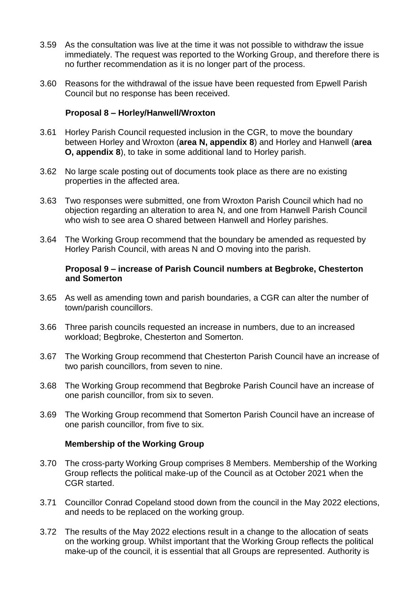- 3.59 As the consultation was live at the time it was not possible to withdraw the issue immediately. The request was reported to the Working Group, and therefore there is no further recommendation as it is no longer part of the process.
- 3.60 Reasons for the withdrawal of the issue have been requested from Epwell Parish Council but no response has been received.

### **Proposal 8 – Horley/Hanwell/Wroxton**

- 3.61 Horley Parish Council requested inclusion in the CGR, to move the boundary between Horley and Wroxton (**area N, appendix 8**) and Horley and Hanwell (**area O, appendix 8**), to take in some additional land to Horley parish.
- 3.62 No large scale posting out of documents took place as there are no existing properties in the affected area.
- 3.63 Two responses were submitted, one from Wroxton Parish Council which had no objection regarding an alteration to area N, and one from Hanwell Parish Council who wish to see area O shared between Hanwell and Horley parishes.
- 3.64 The Working Group recommend that the boundary be amended as requested by Horley Parish Council, with areas N and O moving into the parish.

#### **Proposal 9 – increase of Parish Council numbers at Begbroke, Chesterton and Somerton**

- 3.65 As well as amending town and parish boundaries, a CGR can alter the number of town/parish councillors.
- 3.66 Three parish councils requested an increase in numbers, due to an increased workload; Begbroke, Chesterton and Somerton.
- 3.67 The Working Group recommend that Chesterton Parish Council have an increase of two parish councillors, from seven to nine.
- 3.68 The Working Group recommend that Begbroke Parish Council have an increase of one parish councillor, from six to seven.
- 3.69 The Working Group recommend that Somerton Parish Council have an increase of one parish councillor, from five to six.

#### **Membership of the Working Group**

- 3.70 The cross-party Working Group comprises 8 Members. Membership of the Working Group reflects the political make-up of the Council as at October 2021 when the CGR started.
- 3.71 Councillor Conrad Copeland stood down from the council in the May 2022 elections, and needs to be replaced on the working group.
- 3.72 The results of the May 2022 elections result in a change to the allocation of seats on the working group. Whilst important that the Working Group reflects the political make-up of the council, it is essential that all Groups are represented. Authority is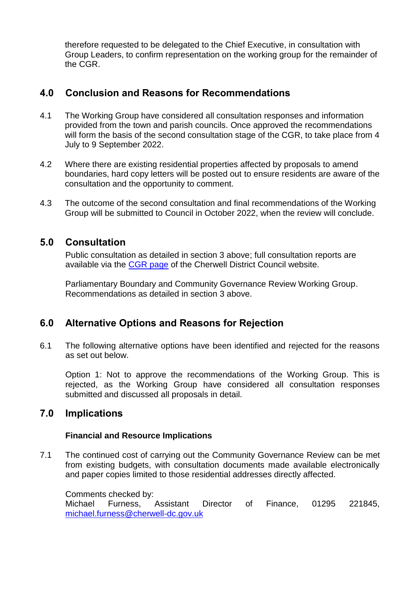therefore requested to be delegated to the Chief Executive, in consultation with Group Leaders, to confirm representation on the working group for the remainder of the CGR.

## **4.0 Conclusion and Reasons for Recommendations**

- 4.1 The Working Group have considered all consultation responses and information provided from the town and parish councils. Once approved the recommendations will form the basis of the second consultation stage of the CGR, to take place from 4 July to 9 September 2022.
- 4.2 Where there are existing residential properties affected by proposals to amend boundaries, hard copy letters will be posted out to ensure residents are aware of the consultation and the opportunity to comment.
- 4.3 The outcome of the second consultation and final recommendations of the Working Group will be submitted to Council in October 2022, when the review will conclude.

## **5.0 Consultation**

Public consultation as detailed in section 3 above; full consultation reports are available via the [CGR page](https://www.cherwell.gov.uk/info/11/elections/315/community-governance-review/2) of the Cherwell District Council website.

Parliamentary Boundary and Community Governance Review Working Group. Recommendations as detailed in section 3 above.

## **6.0 Alternative Options and Reasons for Rejection**

6.1 The following alternative options have been identified and rejected for the reasons as set out below.

Option 1: Not to approve the recommendations of the Working Group. This is rejected, as the Working Group have considered all consultation responses submitted and discussed all proposals in detail.

## **7.0 Implications**

### **Financial and Resource Implications**

7.1 The continued cost of carrying out the Community Governance Review can be met from existing budgets, with consultation documents made available electronically and paper copies limited to those residential addresses directly affected.

Comments checked by: Michael Furness, Assistant Director of Finance, 01295 221845, [michael.furness@cherwell-dc.gov.uk](mailto:michael.furness@cherwell-dc.gov.uk)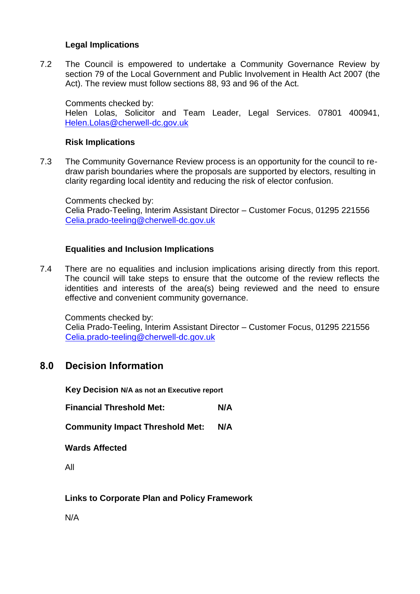## **Legal Implications**

7.2 The Council is empowered to undertake a Community Governance Review by section 79 of the Local Government and Public Involvement in Health Act 2007 (the Act). The review must follow sections 88, 93 and 96 of the Act.

Comments checked by: Helen Lolas, Solicitor and Team Leader, Legal Services. 07801 400941, [Helen.Lolas@cherwell-dc.gov.uk](mailto:Helen.Lolas@cherwell-dc.gov.uk)

## **Risk Implications**

7.3 The Community Governance Review process is an opportunity for the council to redraw parish boundaries where the proposals are supported by electors, resulting in clarity regarding local identity and reducing the risk of elector confusion.

Comments checked by: Celia Prado-Teeling, Interim Assistant Director – Customer Focus, 01295 221556 [Celia.prado-teeling@cherwell-dc.gov.uk](mailto:Celia.prado-teeling@cherwell-dc.gov.uk)

## **Equalities and Inclusion Implications**

7.4 There are no equalities and inclusion implications arising directly from this report. The council will take steps to ensure that the outcome of the review reflects the identities and interests of the area(s) being reviewed and the need to ensure effective and convenient community governance.

Comments checked by:

Celia Prado-Teeling, Interim Assistant Director – Customer Focus, 01295 221556 [Celia.prado-teeling@cherwell-dc.gov.uk](mailto:Celia.prado-teeling@cherwell-dc.gov.uk)

## **8.0 Decision Information**

**Key Decision N/A as not an Executive report**

**Financial Threshold Met: N/A** 

**Community Impact Threshold Met: N/A** 

**Wards Affected**

All

**Links to Corporate Plan and Policy Framework**

N/A